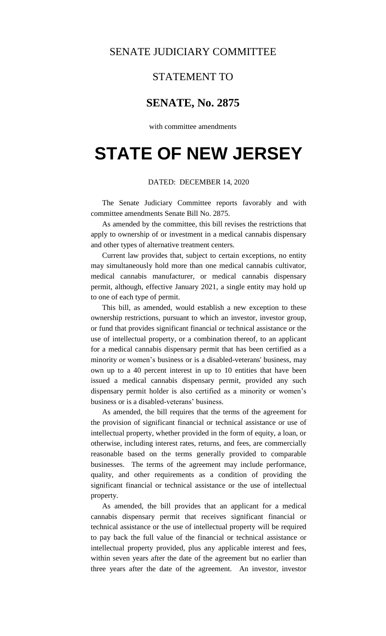## SENATE JUDICIARY COMMITTEE

## STATEMENT TO

## **SENATE, No. 2875**

with committee amendments

# **STATE OF NEW JERSEY**

#### DATED: DECEMBER 14, 2020

The Senate Judiciary Committee reports favorably and with committee amendments Senate Bill No. 2875.

As amended by the committee, this bill revises the restrictions that apply to ownership of or investment in a medical cannabis dispensary and other types of alternative treatment centers.

Current law provides that, subject to certain exceptions, no entity may simultaneously hold more than one medical cannabis cultivator, medical cannabis manufacturer, or medical cannabis dispensary permit, although, effective January 2021, a single entity may hold up to one of each type of permit.

This bill, as amended, would establish a new exception to these ownership restrictions, pursuant to which an investor, investor group, or fund that provides significant financial or technical assistance or the use of intellectual property, or a combination thereof, to an applicant for a medical cannabis dispensary permit that has been certified as a minority or women's business or is a disabled-veterans' business, may own up to a 40 percent interest in up to 10 entities that have been issued a medical cannabis dispensary permit, provided any such dispensary permit holder is also certified as a minority or women's business or is a disabled-veterans' business.

As amended, the bill requires that the terms of the agreement for the provision of significant financial or technical assistance or use of intellectual property, whether provided in the form of equity, a loan, or otherwise, including interest rates, returns, and fees, are commercially reasonable based on the terms generally provided to comparable businesses. The terms of the agreement may include performance, quality, and other requirements as a condition of providing the significant financial or technical assistance or the use of intellectual property.

As amended, the bill provides that an applicant for a medical cannabis dispensary permit that receives significant financial or technical assistance or the use of intellectual property will be required to pay back the full value of the financial or technical assistance or intellectual property provided, plus any applicable interest and fees, within seven years after the date of the agreement but no earlier than three years after the date of the agreement. An investor, investor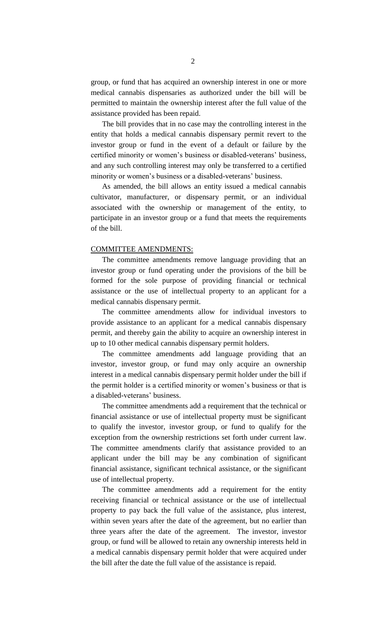group, or fund that has acquired an ownership interest in one or more medical cannabis dispensaries as authorized under the bill will be permitted to maintain the ownership interest after the full value of the assistance provided has been repaid.

The bill provides that in no case may the controlling interest in the entity that holds a medical cannabis dispensary permit revert to the investor group or fund in the event of a default or failure by the certified minority or women's business or disabled-veterans' business, and any such controlling interest may only be transferred to a certified minority or women's business or a disabled-veterans' business.

As amended, the bill allows an entity issued a medical cannabis cultivator, manufacturer, or dispensary permit, or an individual associated with the ownership or management of the entity, to participate in an investor group or a fund that meets the requirements of the bill.

### COMMITTEE AMENDMENTS:

The committee amendments remove language providing that an investor group or fund operating under the provisions of the bill be formed for the sole purpose of providing financial or technical assistance or the use of intellectual property to an applicant for a medical cannabis dispensary permit.

The committee amendments allow for individual investors to provide assistance to an applicant for a medical cannabis dispensary permit, and thereby gain the ability to acquire an ownership interest in up to 10 other medical cannabis dispensary permit holders.

The committee amendments add language providing that an investor, investor group, or fund may only acquire an ownership interest in a medical cannabis dispensary permit holder under the bill if the permit holder is a certified minority or women's business or that is a disabled-veterans' business.

The committee amendments add a requirement that the technical or financial assistance or use of intellectual property must be significant to qualify the investor, investor group, or fund to qualify for the exception from the ownership restrictions set forth under current law. The committee amendments clarify that assistance provided to an applicant under the bill may be any combination of significant financial assistance, significant technical assistance, or the significant use of intellectual property.

The committee amendments add a requirement for the entity receiving financial or technical assistance or the use of intellectual property to pay back the full value of the assistance, plus interest, within seven years after the date of the agreement, but no earlier than three years after the date of the agreement. The investor, investor group, or fund will be allowed to retain any ownership interests held in a medical cannabis dispensary permit holder that were acquired under the bill after the date the full value of the assistance is repaid.